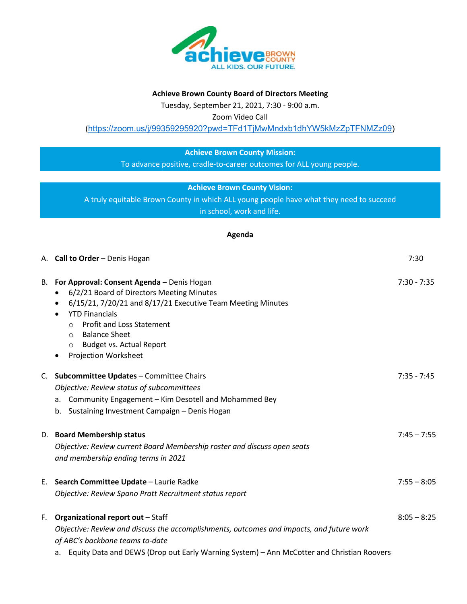

### **Achieve Brown County Board of Directors Meeting**

Tuesday, September 21, 2021, 7:30 - 9:00 a.m.

Zoom Video Call

([https://zoom.us/j/99359295920?pwd=TFd1TjMwMndxb1dhYW5kMzZpTFNMZz09\)](https://zoom.us/j/99359295920?pwd=TFd1TjMwMndxb1dhYW5kMzZpTFNMZz09)

# **Achieve Brown County Mission:**

To advance positive, cradle-to-career outcomes for ALL young people.

## **Achieve Brown County Vision:**

A truly equitable Brown County in which ALL young people have what they need to succeed in school, work and life.

### **Agenda**

|    | A. Call to Order - Denis Hogan                                                                                                                                                                                                                                                                                                                 | 7:30          |
|----|------------------------------------------------------------------------------------------------------------------------------------------------------------------------------------------------------------------------------------------------------------------------------------------------------------------------------------------------|---------------|
| В. | For Approval: Consent Agenda - Denis Hogan<br>6/2/21 Board of Directors Meeting Minutes<br>6/15/21, 7/20/21 and 8/17/21 Executive Team Meeting Minutes<br><b>YTD Financials</b><br><b>Profit and Loss Statement</b><br>$\circ$<br><b>Balance Sheet</b><br>$\circ$<br><b>Budget vs. Actual Report</b><br>$\circ$<br><b>Projection Worksheet</b> | $7:30 - 7:35$ |
|    | C. Subcommittee Updates - Committee Chairs<br>Objective: Review status of subcommittees<br>a. Community Engagement - Kim Desotell and Mohammed Bey<br>b. Sustaining Investment Campaign - Denis Hogan                                                                                                                                          | $7:35 - 7:45$ |
|    | D. Board Membership status<br>Objective: Review current Board Membership roster and discuss open seats<br>and membership ending terms in 2021                                                                                                                                                                                                  | $7:45 - 7:55$ |
| Е. | Search Committee Update - Laurie Radke<br>Objective: Review Spano Pratt Recruitment status report                                                                                                                                                                                                                                              | $7:55 - 8:05$ |
|    | F. Organizational report out - Staff<br>Objective: Review and discuss the accomplishments, outcomes and impacts, and future work<br>of ABC's backbone teams to-date<br>a. Equity Data and DEWS (Drop out Early Warning System) - Ann McCotter and Christian Roovers                                                                            | $8:05 - 8:25$ |